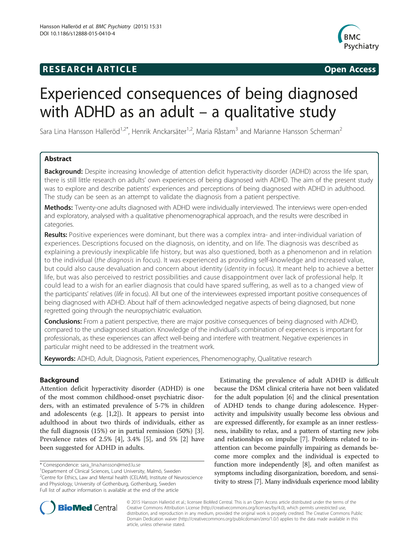# **RESEARCH ARTICLE Example 2014 12:30 The SEAR CHA RESEARCH ARTICLE**



# Experienced consequences of being diagnosed with ADHD as an adult – a qualitative study

Sara Lina Hansson Halleröd<sup>1,2\*</sup>, Henrik Anckarsäter<sup>1,2</sup>, Maria Råstam<sup>3</sup> and Marianne Hansson Scherman<sup>2</sup>

# Abstract

Background: Despite increasing knowledge of attention deficit hyperactivity disorder (ADHD) across the life span, there is still little research on adults' own experiences of being diagnosed with ADHD. The aim of the present study was to explore and describe patients' experiences and perceptions of being diagnosed with ADHD in adulthood. The study can be seen as an attempt to validate the diagnosis from a patient perspective.

Methods: Twenty-one adults diagnosed with ADHD were individually interviewed. The interviews were open-ended and exploratory, analysed with a qualitative phenomenographical approach, and the results were described in categories.

Results: Positive experiences were dominant, but there was a complex intra- and inter-individual variation of experiences. Descriptions focused on the diagnosis, on identity, and on life. The diagnosis was described as explaining a previously inexplicable life history, but was also questioned, both as a phenomenon and in relation to the individual (the diagnosis in focus). It was experienced as providing self-knowledge and increased value, but could also cause devaluation and concern about identity (identity in focus). It meant help to achieve a better life, but was also perceived to restrict possibilities and cause disappointment over lack of professional help. It could lead to a wish for an earlier diagnosis that could have spared suffering, as well as to a changed view of the participants' relatives (life in focus). All but one of the interviewees expressed important positive consequences of being diagnosed with ADHD. About half of them acknowledged negative aspects of being diagnosed, but none regretted going through the neuropsychiatric evaluation.

**Conclusions:** From a patient perspective, there are major positive consequences of being diagnosed with ADHD, compared to the undiagnosed situation. Knowledge of the individual's combination of experiences is important for professionals, as these experiences can affect well-being and interfere with treatment. Negative experiences in particular might need to be addressed in the treatment work.

Keywords: ADHD, Adult, Diagnosis, Patient experiences, Phenomenography, Qualitative research

# Background

Attention deficit hyperactivity disorder (ADHD) is one of the most common childhood-onset psychiatric disorders, with an estimated prevalence of 5-7% in children and adolescents (e.g. [\[1,2](#page-11-0)]). It appears to persist into adulthood in about two thirds of individuals, either as the full diagnosis (15%) or in partial remission (50%) [\[3](#page-11-0)]. Prevalence rates of 2.5% [[4](#page-11-0)], 3.4% [\[5](#page-11-0)], and 5% [[2\]](#page-11-0) have been suggested for ADHD in adults.

\* Correspondence: [sara\\_lina.hansson@med.lu.se](mailto:sara_lina.hansson@med.lu.se) <sup>1</sup>

<sup>1</sup>Department of Clinical Sciences, Lund University, Malmö, Sweden <sup>2</sup>Centre for Ethics, Law and Mental health (CELAM), Institute of Neuroscience and Physiology, University of Gothenburg, Gothenburg, Sweden Full list of author information is available at the end of the article

Estimating the prevalence of adult ADHD is difficult because the DSM clinical criteria have not been validated for the adult population [\[6](#page-11-0)] and the clinical presentation of ADHD tends to change during adolescence. Hyperactivity and impulsivity usually become less obvious and are expressed differently, for example as an inner restlessness, inability to relax, and a pattern of starting new jobs and relationships on impulse [[7](#page-11-0)]. Problems related to inattention can become painfully impairing as demands become more complex and the individual is expected to function more independently [[8\]](#page-12-0), and often manifest as symptoms including disorganization, boredom, and sensitivity to stress [\[7\]](#page-11-0). Many individuals experience mood lability



© 2015 Hansson Halleröd et al.; licensee BioMed Central. This is an Open Access article distributed under the terms of the Creative Commons Attribution License (<http://creativecommons.org/licenses/by/4.0>), which permits unrestricted use, distribution, and reproduction in any medium, provided the original work is properly credited. The Creative Commons Public Domain Dedication waiver [\(http://creativecommons.org/publicdomain/zero/1.0/\)](http://creativecommons.org/publicdomain/zero/1.0/) applies to the data made available in this article, unless otherwise stated.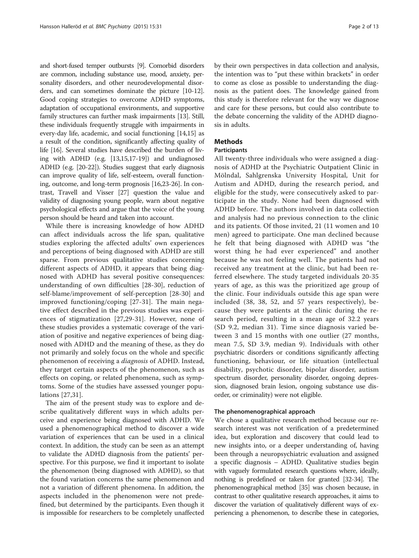and short-fused temper outbursts [\[9](#page-12-0)]. Comorbid disorders are common, including substance use, mood, anxiety, personality disorders, and other neurodevelopmental disorders, and can sometimes dominate the picture [[10](#page-12-0)-[12](#page-12-0)]. Good coping strategies to overcome ADHD symptoms, adaptation of occupational environments, and supportive family structures can further mask impairments [\[13\]](#page-12-0). Still, these individuals frequently struggle with impairments in every-day life, academic, and social functioning [[14,15\]](#page-12-0) as a result of the condition, significantly affecting quality of life [\[16\]](#page-12-0). Several studies have described the burden of living with ADHD (e.g. [\[13,15,17](#page-12-0)-[19](#page-12-0)]) and undiagnosed ADHD (e.g. [[20](#page-12-0)-[22](#page-12-0)]). Studies suggest that early diagnosis can improve quality of life, self-esteem, overall functioning, outcome, and long-term prognosis [[16,23-26](#page-12-0)]. In contrast, Travell and Visser [[27](#page-12-0)] question the value and validity of diagnosing young people, warn about negative psychological effects and argue that the voice of the young person should be heard and taken into account.

While there is increasing knowledge of how ADHD can affect individuals across the life span, qualitative studies exploring the affected adults' own experiences and perceptions of being diagnosed with ADHD are still sparse. From previous qualitative studies concerning different aspects of ADHD, it appears that being diagnosed with ADHD has several positive consequences: understanding of own difficulties [\[28](#page-12-0)-[30\]](#page-12-0), reduction of self-blame/improvement of self-perception [\[28](#page-12-0)-[30](#page-12-0)] and improved functioning/coping [[27-31\]](#page-12-0). The main negative effect described in the previous studies was experiences of stigmatization [[27,29-31\]](#page-12-0). However, none of these studies provides a systematic coverage of the variation of positive and negative experiences of being diagnosed with ADHD and the meaning of these, as they do not primarily and solely focus on the whole and specific phenomenon of receiving a diagnosis of ADHD. Instead, they target certain aspects of the phenomenon, such as effects on coping, or related phenomena, such as symptoms. Some of the studies have assessed younger populations [\[27,31](#page-12-0)].

The aim of the present study was to explore and describe qualitatively different ways in which adults perceive and experience being diagnosed with ADHD. We used a phenomenographical method to discover a wide variation of experiences that can be used in a clinical context. In addition, the study can be seen as an attempt to validate the ADHD diagnosis from the patients' perspective. For this purpose, we find it important to isolate the phenomenon (being diagnosed with ADHD), so that the found variation concerns the same phenomenon and not a variation of different phenomena. In addition, the aspects included in the phenomenon were not predefined, but determined by the participants. Even though it is impossible for researchers to be completely unaffected

by their own perspectives in data collection and analysis, the intention was to "put these within brackets" in order to come as close as possible to understanding the diagnosis as the patient does. The knowledge gained from this study is therefore relevant for the way we diagnose and care for these persons, but could also contribute to the debate concerning the validity of the ADHD diagnosis in adults.

# **Methods**

# Participants

All twenty-three individuals who were assigned a diagnosis of ADHD at the Psychiatric Outpatient Clinic in Mölndal, Sahlgrenska University Hospital, Unit for Autism and ADHD, during the research period, and eligible for the study, were consecutively asked to participate in the study. None had been diagnosed with ADHD before. The authors involved in data collection and analysis had no previous connection to the clinic and its patients. Of those invited, 21 (11 women and 10 men) agreed to participate. One man declined because he felt that being diagnosed with ADHD was "the worst thing he had ever experienced" and another because he was not feeling well. The patients had not received any treatment at the clinic, but had been referred elsewhere. The study targeted individuals 20-35 years of age, as this was the prioritized age group of the clinic. Four individuals outside this age span were included (38, 38, 52, and 57 years respectively), because they were patients at the clinic during the research period, resulting in a mean age of 32.2 years (SD 9.2, median 31). Time since diagnosis varied between 3 and 15 months with one outlier (27 months, mean 7.5, SD 3.9, median 9). Individuals with other psychiatric disorders or conditions significantly affecting functioning, behaviour, or life situation (intellectual disability, psychotic disorder, bipolar disorder, autism spectrum disorder, personality disorder, ongoing depression, diagnosed brain lesion, ongoing substance use disorder, or criminality) were not eligible.

# The phenomenographical approach

We chose a qualitative research method because our research interest was not verification of a predetermined idea, but exploration and discovery that could lead to new insights into, or a deeper understanding of, having been through a neuropsychiatric evaluation and assigned a specific diagnosis – ADHD. Qualitative studies begin with vaguely formulated research questions where, ideally, nothing is predefined or taken for granted [[32-34\]](#page-12-0). The phenomenographical method [\[35\]](#page-12-0) was chosen because, in contrast to other qualitative research approaches, it aims to discover the variation of qualitatively different ways of experiencing a phenomenon, to describe these in categories,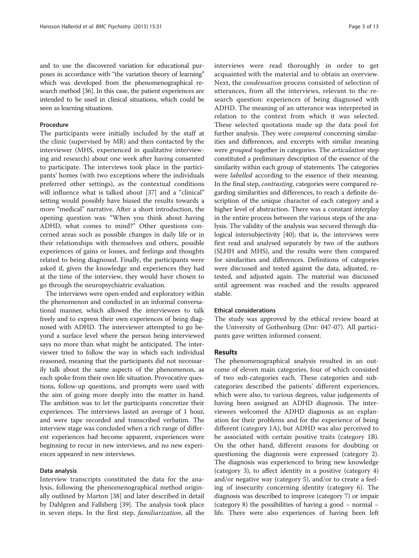and to use the discovered variation for educational purposes in accordance with "the variation theory of learning" which was developed from the phenomenographical research method [\[36\]](#page-12-0). In this case, the patient experiences are intended to be used in clinical situations, which could be seen as learning situations.

# Procedure

The participants were initially included by the staff at the clinic (supervised by MR) and then contacted by the interviewer (MHS, experienced in qualitative interviewing and research) about one week after having consented to participate. The interviews took place in the participants' homes (with two exceptions where the individuals preferred other settings), as the contextual conditions will influence what is talked about [[37\]](#page-12-0) and a "clinical" setting would possibly have biased the results towards a more "medical" narrative. After a short introduction, the opening question was: "When you think about having ADHD, what comes to mind?" Other questions concerned areas such as possible changes in daily life or in their relationships with themselves and others, possible experiences of gains or losses, and feelings and thoughts related to being diagnosed. Finally, the participants were asked if, given the knowledge and experiences they had at the time of the interview, they would have chosen to go through the neuropsychiatric evaluation.

The interviews were open-ended and exploratory within the phenomenon and conducted in an informal conversational manner, which allowed the interviewees to talk freely and to express their own experiences of being diagnosed with ADHD. The interviewer attempted to go beyond a surface level where the person being interviewed says no more than what might be anticipated. The interviewer tried to follow the way in which each individual reasoned, meaning that the participants did not necessarily talk about the same aspects of the phenomenon, as each spoke from their own life situation. Provocative questions, follow-up questions, and prompts were used with the aim of going more deeply into the matter in hand. The ambition was to let the participants concretize their experiences. The interviews lasted an average of 1 hour, and were tape recorded and transcribed verbatim. The interview stage was concluded when a rich range of different experiences had become apparent, experiences were beginning to recur in new interviews, and no new experiences appeared in new interviews.

#### Data analysis

Interview transcripts constituted the data for the analysis, following the phenomenographical method originally outlined by Marton [\[38\]](#page-12-0) and later described in detail by Dahlgren and Fallsberg [\[39](#page-12-0)]. The analysis took place in seven steps. In the first step, familiarization, all the interviews were read thoroughly in order to get acquainted with the material and to obtain an overview. Next, the condensation process consisted of selection of utterances, from all the interviews, relevant to the research question: experiences of being diagnosed with ADHD. The meaning of an utterance was interpreted in relation to the context from which it was selected. These selected quotations made up the data pool for further analysis. They were *compared* concerning similarities and differences, and excerpts with similar meaning were grouped together in categories. The articulation step constituted a preliminary description of the essence of the similarity within each group of statements. The categories were *labelled* according to the essence of their meaning. In the final step, contrasting, categories were compared regarding similarities and differences, to reach a definite description of the unique character of each category and a higher level of abstraction. There was a constant interplay in the entire process between the various steps of the analysis. The validity of the analysis was secured through dialogical intersubjectivity [[40](#page-12-0)]; that is, the interviews were first read and analysed separately by two of the authors (SLHH and MHS), and the results were then compared for similarities and differences. Definitions of categories were discussed and tested against the data, adjusted, retested, and adjusted again. The material was discussed until agreement was reached and the results appeared stable.

#### Ethical considerations

The study was approved by the ethical review board at the University of Gothenburg (Dnr: 047-07). All participants gave written informed consent.

#### Results

The phenomenographical analysis resulted in an outcome of eleven main categories, four of which consisted of two sub-categories each. These categories and subcategories described the patients' different experiences, which were also, to various degrees, value judgements of having been assigned an ADHD diagnosis. The interviewees welcomed the ADHD diagnosis as an explanation for their problems and for the experience of being different (category 1A), but ADHD was also perceived to be associated with certain positive traits (category 1B). On the other hand, different reasons for doubting or questioning the diagnosis were expressed (category 2). The diagnosis was experienced to bring new knowledge (category 3), to affect identity in a positive (category 4) and/or negative way (category 5), and/or to create a feeling of insecurity concerning identity (category 6). The diagnosis was described to improve (category 7) or impair (category 8) the possibilities of having a good – normal – life. There were also experiences of having been left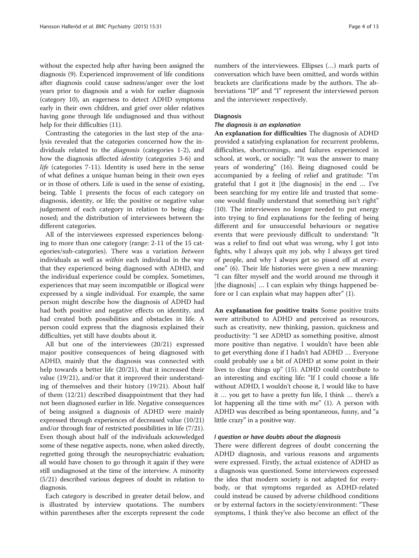without the expected help after having been assigned the diagnosis (9). Experienced improvement of life conditions after diagnosis could cause sadness/anger over the lost years prior to diagnosis and a wish for earlier diagnosis (category 10), an eagerness to detect ADHD symptoms early in their own children, and grief over older relatives having gone through life undiagnosed and thus without help for their difficulties  $(11)$ .

Contrasting the categories in the last step of the analysis revealed that the categories concerned how the individuals related to the *diagnosis* (categories 1-2), and how the diagnosis affected identity (categories 3-6) and life (categories 7-11). Identity is used here in the sense of what defines a unique human being in their own eyes or in those of others. Life is used in the sense of existing, being. Table [1](#page-4-0) presents the focus of each category on diagnosis, identity, or life; the positive or negative value judgement of each category in relation to being diagnosed; and the distribution of interviewees between the different categories.

All of the interviewees expressed experiences belonging to more than one category (range: 2-11 of the 15 categories/sub-categories). There was a variation between individuals as well as within each individual in the way that they experienced being diagnosed with ADHD, and the individual experience could be complex. Sometimes, experiences that may seem incompatible or illogical were expressed by a single individual. For example, the same person might describe how the diagnosis of ADHD had had both positive and negative effects on identity, and had created both possibilities and obstacles in life. A person could express that the diagnosis explained their difficulties, yet still have doubts about it.

All but one of the interviewees (20/21) expressed major positive consequences of being diagnosed with ADHD, mainly that the diagnosis was connected with help towards a better life (20/21), that it increased their value (19/21), and/or that it improved their understanding of themselves and their history (19/21). About half of them (12/21) described disappointment that they had not been diagnosed earlier in life. Negative consequences of being assigned a diagnosis of ADHD were mainly expressed through experiences of decreased value (10/21) and/or through fear of restricted possibilities in life (7/21). Even though about half of the individuals acknowledged some of these negative aspects, none, when asked directly, regretted going through the neuropsychiatric evaluation; all would have chosen to go through it again if they were still undiagnosed at the time of the interview. A minority (5/21) described various degrees of doubt in relation to diagnosis.

Each category is described in greater detail below, and is illustrated by interview quotations. The numbers within parentheses after the excerpts represent the code

numbers of the interviewees. Ellipses (…) mark parts of conversation which have been omitted, and words within brackets are clarifications made by the authors. The abbreviations "IP" and "I" represent the interviewed person and the interviewer respectively.

#### **Diagnosis**

### The diagnosis is an explanation

An explanation for difficulties The diagnosis of ADHD provided a satisfying explanation for recurrent problems, difficulties, shortcomings, and failures experienced in school, at work, or socially: "It was the answer to many years of wondering" (16). Being diagnosed could be accompanied by a feeling of relief and gratitude: "I'm grateful that I got it [the diagnosis] in the end … I've been searching for my entire life and trusted that someone would finally understand that something isn't right" (10). The interviewees no longer needed to put energy into trying to find explanations for the feeling of being different and for unsuccessful behaviours or negative events that were previously difficult to understand: "It was a relief to find out what was wrong, why I got into fights, why I always quit my job, why I always get tired of people, and why I always get so pissed off at everyone" (6). Their life histories were given a new meaning: "I can filter myself and the world around me through it [the diagnosis] ... I can explain why things happened before or I can explain what may happen after" (1).

An explanation for positive traits Some positive traits were attributed to ADHD and perceived as resources, such as creativity, new thinking, passion, quickness and productivity: "I see ADHD as something positive, almost more positive than negative. I wouldn't have been able to get everything done if I hadn't had ADHD … Everyone could probably use a bit of ADHD at some point in their lives to clear things up" (15). ADHD could contribute to an interesting and exciting life: "If I could choose a life without ADHD, I wouldn't choose it, I would like to have it … you get to have a pretty fun life, I think … there's a lot happening all the time with me" (1). A person with ADHD was described as being spontaneous, funny, and "a little crazy" in a positive way.

# I question or have doubts about the diagnosis

There were different degrees of doubt concerning the ADHD diagnosis, and various reasons and arguments were expressed. Firstly, the actual existence of ADHD as a diagnosis was questioned. Some interviewees expressed the idea that modern society is not adapted for everybody, or that symptoms regarded as ADHD-related could instead be caused by adverse childhood conditions or by external factors in the society/environment: "These symptoms, I think they've also become an effect of the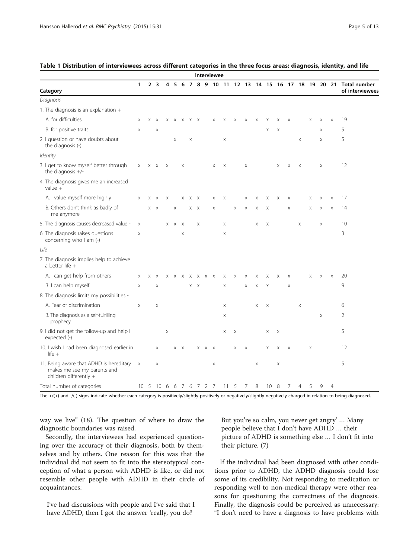| 111551 V<br>7 8 9 10 11 12 13 14 15 16 17 18 19 20 21 Total number                                   |                       |             |                           |                           |             |                       |          |              |             |             |                           |                           |                           |             |                           |                           |             |                |   |             |                           |                 |
|------------------------------------------------------------------------------------------------------|-----------------------|-------------|---------------------------|---------------------------|-------------|-----------------------|----------|--------------|-------------|-------------|---------------------------|---------------------------|---------------------------|-------------|---------------------------|---------------------------|-------------|----------------|---|-------------|---------------------------|-----------------|
| Category                                                                                             | 1                     |             | 2 <sub>3</sub>            |                           | 45          | - 6                   |          |              |             |             |                           |                           |                           |             |                           |                           |             |                |   |             |                           | of interviewees |
| Diagnosis                                                                                            |                       |             |                           |                           |             |                       |          |              |             |             |                           |                           |                           |             |                           |                           |             |                |   |             |                           |                 |
| 1. The diagnosis is an explanation +                                                                 |                       |             |                           |                           |             |                       |          |              |             |             |                           |                           |                           |             |                           |                           |             |                |   |             |                           |                 |
| A. for difficulties                                                                                  | X                     | X           | $\mathsf{X}$              |                           |             | $X$ $X$ $X$ $X$ $X$   |          |              |             | $\mathsf X$ | $\boldsymbol{\mathsf{X}}$ | X                         | X                         | X           | X                         | X                         | X           |                | Χ | X           | X                         | 19              |
| B. for positive traits                                                                               | $\boldsymbol{\times}$ |             | $\boldsymbol{\times}$     |                           |             |                       |          |              |             |             |                           |                           |                           |             | X                         | $\boldsymbol{\mathsf{X}}$ |             |                |   | $\mathsf X$ |                           | 5               |
| 2. I question or have doubts about<br>the diagnosis (-)                                              |                       |             |                           |                           | $\mathsf X$ |                       | $\times$ |              |             |             | X                         |                           |                           |             |                           |                           |             | X              |   | $\mathsf X$ |                           | 5               |
| Identity                                                                                             |                       |             |                           |                           |             |                       |          |              |             |             |                           |                           |                           |             |                           |                           |             |                |   |             |                           |                 |
| 3. I get to know myself better through<br>the diagnosis $+/-$                                        |                       | $X$ $X$ $X$ |                           | $\mathsf{X}$              |             | $\boldsymbol{\times}$ |          |              |             | X           | $\boldsymbol{\mathsf{X}}$ |                           | $\boldsymbol{\times}$     |             |                           | X                         | $\times$    | $\mathsf X$    |   | $\mathsf X$ |                           | 12              |
| 4. The diagnosis gives me an increased<br>value $+$                                                  |                       |             |                           |                           |             |                       |          |              |             |             |                           |                           |                           |             |                           |                           |             |                |   |             |                           |                 |
| A. I value myself more highly                                                                        | X                     | $\times$    | $\times$                  | X                         |             |                       | X X X    |              |             | X           | $\boldsymbol{\times}$     |                           | X                         | X           | X                         | X                         | X           |                | X | X           | X                         | 17              |
| B. Others don't think as badly of<br>me anymore                                                      |                       |             | $X$ $X$                   |                           | X           |                       | X        | $\times$     |             | X           |                           | $\boldsymbol{\mathsf{X}}$ | X                         | X           | $\boldsymbol{\mathsf{X}}$ |                           | $\mathsf X$ |                | X | X           | $\boldsymbol{\mathsf{X}}$ | 14              |
| 5. The diagnosis causes decreased value -                                                            | X                     |             |                           |                           | X X X       |                       |          | X            |             |             | X                         |                           |                           | X           | $\times$                  |                           |             | Χ              |   | X           |                           | 10              |
| 6. The diagnosis raises questions<br>concerning who I am (-)                                         | $\boldsymbol{\times}$ |             |                           |                           |             | X                     |          |              |             |             | X                         |                           |                           |             |                           |                           |             |                |   |             |                           | 3               |
| Life                                                                                                 |                       |             |                           |                           |             |                       |          |              |             |             |                           |                           |                           |             |                           |                           |             |                |   |             |                           |                 |
| 7. The diagnosis implies help to achieve<br>a better life $+$                                        |                       |             |                           |                           |             |                       |          |              |             |             |                           |                           |                           |             |                           |                           |             |                |   |             |                           |                 |
| A. I can get help from others                                                                        | X                     | X           | $\times$                  | X                         | $\times$    |                       | X X      | $\mathsf{X}$ | X X         |             | Χ                         | X                         | Χ                         | X           | X                         | X                         | X           |                | Χ | X           | X                         | 20              |
| B. I can help myself                                                                                 | $\mathsf X$           |             | $\mathsf X$               |                           |             |                       |          | $X$ $X$      |             |             | $\boldsymbol{\times}$     |                           | $\boldsymbol{\mathsf{X}}$ | $\mathsf X$ | $\times$                  |                           | $\mathsf X$ |                |   |             |                           | 9               |
| 8. The diagnosis limits my possibilities -                                                           |                       |             |                           |                           |             |                       |          |              |             |             |                           |                           |                           |             |                           |                           |             |                |   |             |                           |                 |
| A. Fear of discrimination                                                                            | X                     |             | X                         |                           |             |                       |          |              |             |             | X                         |                           |                           | X           | $\times$                  |                           |             | X              |   |             |                           | 6               |
| B. The diagnosis as a self-fulfilling<br>prophecy                                                    |                       |             |                           |                           |             |                       |          |              |             |             | X                         |                           |                           |             |                           |                           |             |                |   | $\mathsf X$ |                           | 2               |
| 9. I did not get the follow-up and help I<br>$expected (-)$                                          |                       |             |                           | $\boldsymbol{\mathsf{X}}$ |             |                       |          |              |             |             | Χ                         | X                         |                           |             | Χ                         | $\times$                  |             |                |   |             |                           | 5               |
| 10. I wish I had been diagnosed earlier in<br>life $+$                                               |                       |             | Χ                         |                           |             | X X                   |          |              | $X$ $X$ $X$ |             |                           | X                         | $\boldsymbol{\mathsf{X}}$ |             | X                         | Χ                         | $\times$    |                | X |             |                           | 12              |
| 11. Being aware that ADHD is hereditary x<br>makes me see my parents and<br>children differently $+$ |                       |             | $\boldsymbol{\mathsf{X}}$ |                           |             |                       |          |              |             | $\mathsf X$ |                           |                           |                           | X           |                           | $\boldsymbol{\times}$     |             |                |   |             |                           | 5               |
| Total number of categories                                                                           | 10                    | -5          | - 10                      | 6                         | - 6         | 7                     |          | 6 7 2 7      |             |             | 11                        | 5                         | 7                         | 8           | 10                        | 8                         | 7           | $\overline{4}$ | 5 | 9           | 4                         |                 |

#### <span id="page-4-0"></span>Table 1 Distribution of interviewees across different categories in the three focus areas: diagnosis, identity, and life Interviewee

The +/(+) and -/(-) signs indicate whether each category is positively/slightly positively or negatively/slightly negatively charged in relation to being diagnosed.

way we live" (18). The question of where to draw the diagnostic boundaries was raised.

Secondly, the interviewees had experienced questioning over the accuracy of their diagnosis, both by themselves and by others. One reason for this was that the individual did not seem to fit into the stereotypical conception of what a person with ADHD is like, or did not resemble other people with ADHD in their circle of acquaintances:

I've had discussions with people and I've said that I have ADHD, then I got the answer 'really, you do?

But you're so calm, you never get angry' … Many people believe that I don't have ADHD … their picture of ADHD is something else … I don't fit into their picture. (7)

If the individual had been diagnosed with other conditions prior to ADHD, the ADHD diagnosis could lose some of its credibility. Not responding to medication or responding well to non-medical therapy were other reasons for questioning the correctness of the diagnosis. Finally, the diagnosis could be perceived as unnecessary: "I don't need to have a diagnosis to have problems with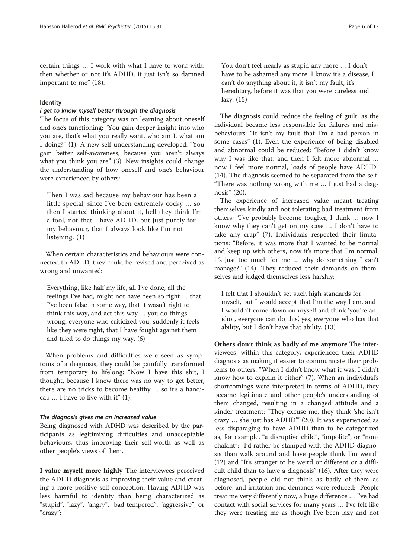certain things … I work with what I have to work with, then whether or not it's ADHD, it just isn't so damned important to me" (18).

# Identity

#### I get to know myself better through the diagnosis

The focus of this category was on learning about oneself and one's functioning: "You gain deeper insight into who you are, that's what you really want, who am I, what am I doing?" (1). A new self-understanding developed: "You gain better self-awareness, because you aren't always what you think you are" (3). New insights could change the understanding of how oneself and one's behaviour were experienced by others:

Then I was sad because my behaviour has been a little special, since I've been extremely cocky … so then I started thinking about it, hell they think I'm a fool, not that I have ADHD, but just purely for my behaviour, that I always look like I'm not listening. (1)

When certain characteristics and behaviours were connected to ADHD, they could be revised and perceived as wrong and unwanted:

Everything, like half my life, all I've done, all the feelings I've had, might not have been so right … that I've been false in some way, that it wasn't right to think this way, and act this way … you do things wrong, everyone who criticized you, suddenly it feels like they were right, that I have fought against them and tried to do things my way. (6)

When problems and difficulties were seen as symptoms of a diagnosis, they could be painfully transformed from temporary to lifelong: "Now I have this shit, I thought, because I knew there was no way to get better, there are no tricks to become healthy … so it's a handicap  $\ldots$  I have to live with it" (1).

#### The diagnosis gives me an increased value

Being diagnosed with ADHD was described by the participants as legitimizing difficulties and unacceptable behaviours, thus improving their self-worth as well as other people's views of them.

I value myself more highly The interviewees perceived the ADHD diagnosis as improving their value and creating a more positive self-conception. Having ADHD was less harmful to identity than being characterized as "stupid", "lazy", "angry", "bad tempered", "aggressive", or "crazy":

You don't feel nearly as stupid any more … I don't have to be ashamed any more, I know it's a disease, I can't do anything about it, it isn't my fault, it's hereditary, before it was that you were careless and lazy. (15)

The diagnosis could reduce the feeling of guilt, as the individual became less responsible for failures and misbehaviours: "It isn't my fault that I'm a bad person in some cases" (1). Even the experience of being disabled and abnormal could be reduced: "Before I didn't know why I was like that, and then I felt more abnormal … now I feel more normal, loads of people have ADHD" (14). The diagnosis seemed to be separated from the self: "There was nothing wrong with me … I just had a diagnosis" (20).

The experience of increased value meant treating themselves kindly and not tolerating bad treatment from others: "I've probably become tougher, I think … now I know why they can't get on my case … I don't have to take any crap" (7). Individuals respected their limitations: "Before, it was more that I wanted to be normal and keep up with others, now it's more that I'm normal, it's just too much for me … why do something I can't manage?" (14). They reduced their demands on themselves and judged themselves less harshly:

I felt that I shouldn't set such high standards for myself, but I would accept that I'm the way I am, and I wouldn't come down on myself and think 'you're an idiot, everyone can do this', yes, everyone who has that ability, but I don't have that ability. (13)

Others don't think as badly of me anymore The interviewees, within this category, experienced their ADHD diagnosis as making it easier to communicate their problems to others: "When I didn't know what it was, I didn't know how to explain it either" (7). When an individual's shortcomings were interpreted in terms of ADHD, they became legitimate and other people's understanding of them changed, resulting in a changed attitude and a kinder treatment: "They excuse me, they think 'she isn't crazy … she just has ADHD'" (20). It was experienced as less disparaging to have ADHD than to be categorized as, for example, "a disruptive child", "impolite", or "nonchalant": "I'd rather be stamped with the ADHD diagnosis than walk around and have people think I'm weird" (12) and "It's stranger to be weird or different or a difficult child than to have a diagnosis" (16). After they were diagnosed, people did not think as badly of them as before, and irritation and demands were reduced: "People treat me very differently now, a huge difference … I've had contact with social services for many years … I've felt like they were treating me as though I've been lazy and not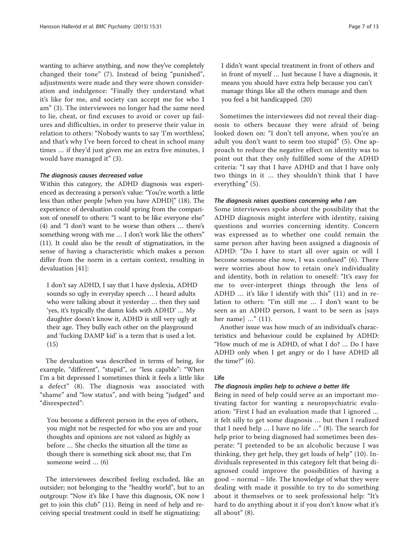wanting to achieve anything, and now they've completely changed their tone" (7). Instead of being "punished", adjustments were made and they were shown consideration and indulgence: "Finally they understand what it's like for me, and society can accept me for who I am" (3). The interviewees no longer had the same need to lie, cheat, or find excuses to avoid or cover up failures and difficulties, in order to preserve their value in relation to others: "Nobody wants to say 'I'm worthless', and that's why I've been forced to cheat in school many times … if they'd just given me an extra five minutes, I would have managed it" (3).

## The diagnosis causes decreased value

Within this category, the ADHD diagnosis was experienced as decreasing a person's value: "You're worth a little less than other people [when you have ADHD]" (18). The experience of devaluation could spring from the comparison of oneself to others: "I want to be like everyone else" (4) and "I don't want to be worse than others … there's something wrong with me … I don't work like the others" (11). It could also be the result of stigmatization, in the sense of having a characteristic which makes a person differ from the norm in a certain context, resulting in devaluation [[41\]](#page-12-0):

I don't say ADHD, I say that I have dyslexia, ADHD sounds so ugly in everyday speech … I heard adults who were talking about it yesterday … then they said 'yes, it's typically the damn kids with ADHD' … My daughter doesn't know it, ADHD is still very ugly at their age. They bully each other on the playground and 'fucking DAMP kid' is a term that is used a lot. (15)

The devaluation was described in terms of being, for example, "different", "stupid", or "less capable": "When I'm a bit depressed I sometimes think it feels a little like a defect" (8). The diagnosis was associated with "shame" and "low status", and with being "judged" and "disrespected":

You become a different person in the eyes of others, you might not be respected for who you are and your thoughts and opinions are not valued as highly as before … She checks the situation all the time as though there is something sick about me, that I'm someone weird … (6)

The interviewees described feeling excluded, like an outsider; not belonging to the "healthy world", but to an outgroup: "Now it's like I have this diagnosis, OK now I get to join this club" (11). Being in need of help and receiving special treatment could in itself be stigmatizing:

I didn't want special treatment in front of others and in front of myself … Just because I have a diagnosis, it means you should have extra help because you can't manage things like all the others manage and then you feel a bit handicapped. (20)

Sometimes the interviewees did not reveal their diagnosis to others because they were afraid of being looked down on: "I don't tell anyone, when you're an adult you don't want to seem too stupid" (5). One approach to reduce the negative effect on identity was to point out that they only fulfilled some of the ADHD criteria: "I say that I have ADHD and that I have only two things in it … they shouldn't think that I have everything" (5).

# The diagnosis raises questions concerning who I am

Some interviewees spoke about the possibility that the ADHD diagnosis might interfere with identity, raising questions and worries concerning identity. Concern was expressed as to whether one could remain the same person after having been assigned a diagnosis of ADHD: "Do I have to start all over again or will I become someone else now, I was confused" (6). There were worries about how to retain one's individuality and identity, both in relation to oneself: "It's easy for me to over-interpret things through the lens of ADHD … it's like I identify with this" (11) and in relation to others: "I'm still me … I don't want to be seen as an ADHD person, I want to be seen as [says her name] ..." (11).

Another issue was how much of an individual's characteristics and behaviour could be explained by ADHD: "How much of me is ADHD, of what I do? … Do I have ADHD only when I get angry or do I have ADHD all the time?" (6).

#### Life

# The diagnosis implies help to achieve a better life

Being in need of help could serve as an important motivating factor for wanting a neuropsychiatric evaluation: "First I had an evaluation made that I ignored … it felt silly to get some diagnosis … but then I realized that I need help … I have no life …" (8). The search for help prior to being diagnosed had sometimes been desperate: "I pretended to be an alcoholic because I was thinking, they get help, they get loads of help" (10). Individuals represented in this category felt that being diagnosed could improve the possibilities of having a good – normal – life. The knowledge of what they were dealing with made it possible to try to do something about it themselves or to seek professional help: "It's hard to do anything about it if you don't know what it's all about" (8).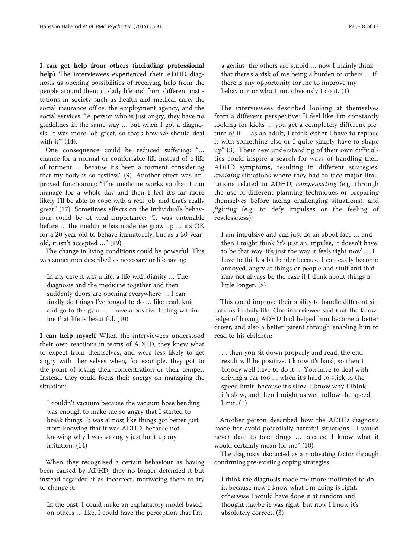I can get help from others (including professional help) The interviewees experienced their ADHD diagnosis as opening possibilities of receiving help from the people around them in daily life and from different institutions in society such as health and medical care, the social insurance office, the employment agency, and the social services: "A person who is just angry, they have no guidelines in the same way … but when I got a diagnosis, it was more, 'oh great, so that's how we should deal with it" (14).

One consequence could be reduced suffering: "… chance for a normal or comfortable life instead of a life of torment … because it's been a torment considering that my body is so restless" (9). Another effect was improved functioning: "The medicine works so that I can manage for a whole day and then I feel it's far more likely I'll be able to cope with a real job, and that's really great" (17). Sometimes effects on the individual's behaviour could be of vital importance: "It was untenable before … the medicine has made me grow up … it's OK for a 20-year old to behave immaturely, but as a 30-yearold, it isn't accepted …" (19).

The change in living conditions could be powerful. This was sometimes described as necessary or life-saving:

In my case it was a life, a life with dignity … The diagnosis and the medicine together and then suddenly doors are opening everywhere … I can finally do things I've longed to do … like read, knit and go to the gym … I have a positive feeling within me that life is beautiful. (10)

I can help myself When the interviewees understood their own reactions in terms of ADHD, they knew what to expect from themselves, and were less likely to get angry with themselves when, for example, they got to the point of losing their concentration or their temper. Instead, they could focus their energy on managing the situation:

I couldn't vacuum because the vacuum hose bending was enough to make me so angry that I started to break things. It was almost like things got better just from knowing that it was ADHD, because not knowing why I was so angry just built up my irritation. (14)

When they recognised a certain behaviour as having been caused by ADHD, they no longer defended it but instead regarded it as incorrect, motivating them to try to change it:

In the past, I could make an explanatory model based on others … like, I could have the perception that I'm

a genius, the others are stupid … now I mainly think that there's a risk of me being a burden to others … if there is any opportunity for me to improve my behaviour or who I am, obviously I do it. (1)

The interviewees described looking at themselves from a different perspective: "I feel like I'm constantly looking for kicks … you get a completely different picture of it … as an adult, I think either I have to replace it with something else or I quite simply have to shape up" (3). Their new understanding of their own difficulties could inspire a search for ways of handling their ADHD symptoms, resulting in different strategies: avoiding situations where they had to face major limitations related to ADHD, compensating (e.g. through the use of different planning techniques or preparing themselves before facing challenging situations), and fighting (e.g. to defy impulses or the feeling of restlessness):

I am impulsive and can just do an about-face … and then I might think 'it's just an impulse, it doesn't have to be that way, it's just the way it feels right now' … I have to think a bit harder because I can easily become annoyed, angry at things or people and stuff and that may not always be the case if I think about things a little longer. (8)

This could improve their ability to handle different situations in daily life. One interviewee said that the knowledge of having ADHD had helped him become a better driver, and also a better parent through enabling him to read to his children:

… then you sit down properly and read, the end result will be positive. I know it's hard, so then I bloody well have to do it … You have to deal with driving a car too … when it's hard to stick to the speed limit, because it's slow, I know why I think it's slow, and then I might as well follow the speed limit. (1)

Another person described how the ADHD diagnosis made her avoid potentially harmful situations: "I would never dare to take drugs … because I know what it would certainly mean for me" (10).

The diagnosis also acted as a motivating factor through confirming pre-existing coping strategies:

I think the diagnosis made me more motivated to do it, because now I know what I'm doing is right, otherwise I would have done it at random and thought maybe it was right, but now I know it's absolutely correct. (3)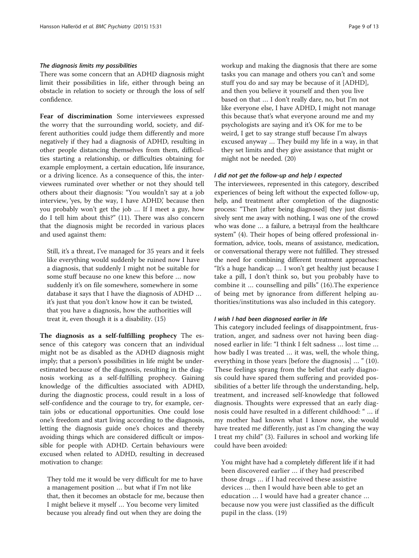#### The diagnosis limits my possibilities

There was some concern that an ADHD diagnosis might limit their possibilities in life, either through being an obstacle in relation to society or through the loss of self confidence.

Fear of discrimination Some interviewees expressed the worry that the surrounding world, society, and different authorities could judge them differently and more negatively if they had a diagnosis of ADHD, resulting in other people distancing themselves from them, difficulties starting a relationship, or difficulties obtaining for example employment, a certain education, life insurance, or a driving licence. As a consequence of this, the interviewees ruminated over whether or not they should tell others about their diagnosis: "You wouldn't say at a job interview, 'yes, by the way, I have ADHD', because then you probably won't get the job … If I meet a guy, how do I tell him about this?" (11). There was also concern that the diagnosis might be recorded in various places and used against them:

Still, it's a threat, I've managed for 35 years and it feels like everything would suddenly be ruined now I have a diagnosis, that suddenly I might not be suitable for some stuff because no one knew this before … now suddenly it's on file somewhere, somewhere in some database it says that I have the diagnosis of ADHD … it's just that you don't know how it can be twisted, that you have a diagnosis, how the authorities will treat it, even though it is a disability. (15)

The diagnosis as a self-fulfilling prophecy The essence of this category was concern that an individual might not be as disabled as the ADHD diagnosis might imply; that a person's possibilities in life might be underestimated because of the diagnosis, resulting in the diagnosis working as a self-fulfilling prophecy. Gaining knowledge of the difficulties associated with ADHD, during the diagnostic process, could result in a loss of self-confidence and the courage to try, for example, certain jobs or educational opportunities. One could lose one's freedom and start living according to the diagnosis, letting the diagnosis guide one's choices and thereby avoiding things which are considered difficult or impossible for people with ADHD. Certain behaviours were excused when related to ADHD, resulting in decreased motivation to change:

They told me it would be very difficult for me to have a management position … but what if I'm not like that, then it becomes an obstacle for me, because then I might believe it myself … You become very limited because you already find out when they are doing the

workup and making the diagnosis that there are some tasks you can manage and others you can't and some stuff you do and say may be because of it [ADHD], and then you believe it yourself and then you live based on that … I don't really dare, no, but I'm not like everyone else, I have ADHD, I might not manage this because that's what everyone around me and my psychologists are saying and it's OK for me to be weird, I get to say strange stuff because I'm always excused anyway … They build my life in a way, in that they set limits and they give assistance that might or might not be needed. (20)

# I did not get the follow-up and help I expected

The interviewees, represented in this category, described experiences of being left without the expected follow-up, help, and treatment after completion of the diagnostic process: "Then [after being diagnosed] they just dismissively sent me away with nothing, I was one of the crowd who was done … a failure, a betrayal from the healthcare system" (4). Their hopes of being offered professional information, advice, tools, means of assistance, medication, or conversational therapy were not fulfilled. They stressed the need for combining different treatment approaches: "It's a huge handicap … I won't get healthy just because I take a pill, I don't think so, but you probably have to combine it … counselling and pills" (16).The experience of being met by ignorance from different helping authorities/institutions was also included in this category.

#### I wish I had been diagnosed earlier in life

This category included feelings of disappointment, frustration, anger, and sadness over not having been diagnosed earlier in life: "I think I felt sadness … lost time … how badly I was treated … it was, well, the whole thing, everything in those years [before the diagnosis] … " (10). These feelings sprang from the belief that early diagnosis could have spared them suffering and provided possibilities of a better life through the understanding, help, treatment, and increased self-knowledge that followed diagnosis. Thoughts were expressed that an early diagnosis could have resulted in a different childhood: " … if my mother had known what I know now, she would have treated me differently, just as I'm changing the way I treat my child" (3). Failures in school and working life could have been avoided:

You might have had a completely different life if it had been discovered earlier … if they had prescribed those drugs … if I had received these assistive devices … then I would have been able to get an education … I would have had a greater chance … because now you were just classified as the difficult pupil in the class. (19)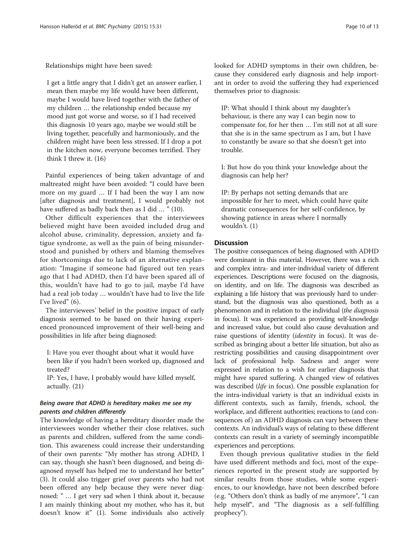#### Relationships might have been saved:

I get a little angry that I didn't get an answer earlier, I mean then maybe my life would have been different, maybe I would have lived together with the father of my children … the relationship ended because my mood just got worse and worse, so if I had received this diagnosis 10 years ago, maybe we would still be living together, peacefully and harmoniously, and the children might have been less stressed. If I drop a pot in the kitchen now, everyone becomes terrified. They think I threw it. (16)

Painful experiences of being taken advantage of and maltreated might have been avoided: "I could have been more on my guard … If I had been the way I am now [after diagnosis and treatment], I would probably not have suffered as badly back then as I did ... " (10).

Other difficult experiences that the interviewees believed might have been avoided included drug and alcohol abuse, criminality, depression, anxiety and fatigue syndrome, as well as the pain of being misunderstood and punished by others and blaming themselves for shortcomings due to lack of an alternative explanation: "Imagine if someone had figured out ten years ago that I had ADHD, then I'd have been spared all of this, wouldn't have had to go to jail, maybe I'd have had a real job today … wouldn't have had to live the life I've lived" (6).

The interviewees' belief in the positive impact of early diagnosis seemed to be based on their having experienced pronounced improvement of their well-being and possibilities in life after being diagnosed:

I: Have you ever thought about what it would have been like if you hadn't been worked up, diagnosed and treated?

IP: Yes, I have, I probably would have killed myself, actually. (21)

# Being aware that ADHD is hereditary makes me see my parents and children differently

The knowledge of having a hereditary disorder made the interviewees wonder whether their close relatives, such as parents and children, suffered from the same condition. This awareness could increase their understanding of their own parents: "My mother has strong ADHD, I can say, though she hasn't been diagnosed, and being diagnosed myself has helped me to understand her better" (3). It could also trigger grief over parents who had not been offered any help because they were never diagnosed: " … I get very sad when I think about it, because I am mainly thinking about my mother, who has it, but doesn't know it" (1). Some individuals also actively looked for ADHD symptoms in their own children, because they considered early diagnosis and help important in order to avoid the suffering they had experienced themselves prior to diagnosis:

IP: What should I think about my daughter's behaviour, is there any way I can begin now to compensate for, for her then … I'm still not at all sure that she is in the same spectrum as I am, but I have to constantly be aware so that she doesn't get into trouble.

I: But how do you think your knowledge about the diagnosis can help her?

IP: By perhaps not setting demands that are impossible for her to meet, which could have quite dramatic consequences for her self-confidence, by showing patience in areas where I normally wouldn't. (1)

# **Discussion**

The positive consequences of being diagnosed with ADHD were dominant in this material. However, there was a rich and complex intra- and inter-individual variety of different experiences. Descriptions were focused on the diagnosis, on identity, and on life. The diagnosis was described as explaining a life history that was previously hard to understand, but the diagnosis was also questioned, both as a phenomenon and in relation to the individual (the diagnosis in focus). It was experienced as providing self-knowledge and increased value, but could also cause devaluation and raise questions of identity (identity in focus). It was described as bringing about a better life situation, but also as restricting possibilities and causing disappointment over lack of professional help. Sadness and anger were expressed in relation to a wish for earlier diagnosis that might have spared suffering. A changed view of relatives was described (life in focus). One possible explanation for the intra-individual variety is that an individual exists in different contexts, such as family, friends, school, the workplace, and different authorities; reactions to (and consequences of) an ADHD diagnosis can vary between these contexts. An individual's ways of relating to these different contexts can result in a variety of seemingly incompatible experiences and perceptions.

Even though previous qualitative studies in the field have used different methods and foci, most of the experiences reported in the present study are supported by similar results from those studies, while some experiences, to our knowledge, have not been described before (e.g. "Others don't think as badly of me anymore", "I can help myself", and "The diagnosis as a self-fulfilling prophecy").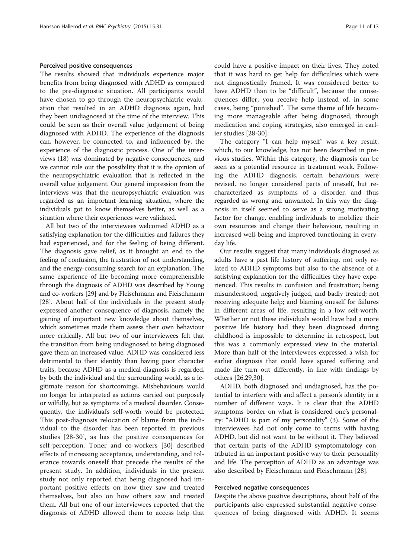#### Perceived positive consequences

The results showed that individuals experience major benefits from being diagnosed with ADHD as compared to the pre-diagnostic situation. All participants would have chosen to go through the neuropsychiatric evaluation that resulted in an ADHD diagnosis again, had they been undiagnosed at the time of the interview. This could be seen as their overall value judgement of being diagnosed with ADHD. The experience of the diagnosis can, however, be connected to, and influenced by, the experience of the diagnostic process. One of the interviews (18) was dominated by negative consequences, and we cannot rule out the possibility that it is the opinion of the neuropsychiatric evaluation that is reflected in the overall value judgement. Our general impression from the interviews was that the neuropsychiatric evaluation was regarded as an important learning situation, where the individuals got to know themselves better, as well as a situation where their experiences were validated.

All but two of the interviewees welcomed ADHD as a satisfying explanation for the difficulties and failures they had experienced, and for the feeling of being different. The diagnosis gave relief, as it brought an end to the feeling of confusion, the frustration of not understanding, and the energy-consuming search for an explanation. The same experience of life becoming more comprehensible through the diagnosis of ADHD was described by Young and co-workers [\[29](#page-12-0)] and by Fleischmann and Fleischmann [[28](#page-12-0)]. About half of the individuals in the present study expressed another consequence of diagnosis, namely the gaining of important new knowledge about themselves, which sometimes made them assess their own behaviour more critically. All but two of our interviewees felt that the transition from being undiagnosed to being diagnosed gave them an increased value. ADHD was considered less detrimental to their identity than having poor character traits, because ADHD as a medical diagnosis is regarded, by both the individual and the surrounding world, as a legitimate reason for shortcomings. Misbehaviours would no longer be interpreted as actions carried out purposely or wilfully, but as symptoms of a medical disorder. Consequently, the individual's self-worth would be protected. This post-diagnosis relocation of blame from the individual to the disorder has been reported in previous studies [[28-30\]](#page-12-0), as has the positive consequences for self-perception. Toner and co-workers [[30\]](#page-12-0) described effects of increasing acceptance, understanding, and tolerance towards oneself that precede the results of the present study. In addition, individuals in the present study not only reported that being diagnosed had important positive effects on how they saw and treated themselves, but also on how others saw and treated them. All but one of our interviewees reported that the diagnosis of ADHD allowed them to access help that

could have a positive impact on their lives. They noted that it was hard to get help for difficulties which were not diagnostically framed. It was considered better to have ADHD than to be "difficult", because the consequences differ; you receive help instead of, in some cases, being "punished". The same theme of life becoming more manageable after being diagnosed, through medication and coping strategies, also emerged in earlier studies [[28](#page-12-0)-[30\]](#page-12-0).

The category "I can help myself" was a key result, which, to our knowledge, has not been described in previous studies. Within this category, the diagnosis can be seen as a potential resource in treatment work. Following the ADHD diagnosis, certain behaviours were revised, no longer considered parts of oneself, but recharacterized as symptoms of a disorder, and thus regarded as wrong and unwanted. In this way the diagnosis in itself seemed to serve as a strong motivating factor for change, enabling individuals to mobilize their own resources and change their behaviour, resulting in increased well-being and improved functioning in everyday life.

Our results suggest that many individuals diagnosed as adults have a past life history of suffering, not only related to ADHD symptoms but also to the absence of a satisfying explanation for the difficulties they have experienced. This results in confusion and frustration; being misunderstood, negatively judged, and badly treated; not receiving adequate help; and blaming oneself for failures in different areas of life, resulting in a low self-worth. Whether or not these individuals would have had a more positive life history had they been diagnosed during childhood is impossible to determine in retrospect, but this was a commonly expressed view in the material. More than half of the interviewees expressed a wish for earlier diagnosis that could have spared suffering and made life turn out differently, in line with findings by others [\[26,29,30](#page-12-0)].

ADHD, both diagnosed and undiagnosed, has the potential to interfere with and affect a person's identity in a number of different ways. It is clear that the ADHD symptoms border on what is considered one's personality: "ADHD is part of my personality" (3). Some of the interviewees had not only come to terms with having ADHD, but did not want to be without it. They believed that certain parts of the ADHD symptomatology contributed in an important positive way to their personality and life. The perception of ADHD as an advantage was also described by Fleischmann and Fleischmann [[28\]](#page-12-0).

#### Perceived negative consequences

Despite the above positive descriptions, about half of the participants also expressed substantial negative consequences of being diagnosed with ADHD. It seems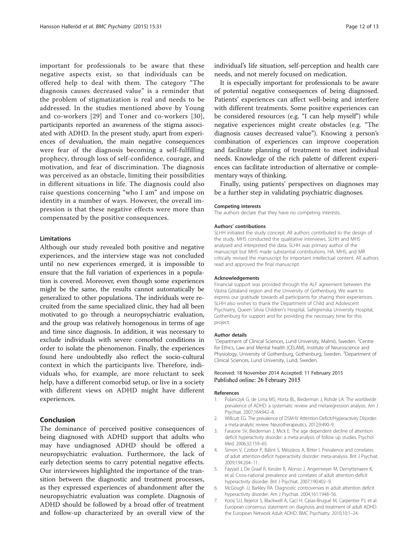<span id="page-11-0"></span>important for professionals to be aware that these negative aspects exist, so that individuals can be offered help to deal with them. The category "The diagnosis causes decreased value" is a reminder that the problem of stigmatization is real and needs to be addressed. In the studies mentioned above by Young and co-workers [[29\]](#page-12-0) and Toner and co-workers [[30](#page-12-0)], participants reported an awareness of the stigma associated with ADHD. In the present study, apart from experiences of devaluation, the main negative consequences were fear of the diagnosis becoming a self-fulfilling prophecy, through loss of self-confidence, courage, and motivation, and fear of discrimination. The diagnosis was perceived as an obstacle, limiting their possibilities in different situations in life. The diagnosis could also raise questions concerning "who I am" and impose on identity in a number of ways. However, the overall impression is that these negative effects were more than compensated by the positive consequences.

#### **Limitations**

Although our study revealed both positive and negative experiences, and the interview stage was not concluded until no new experiences emerged, it is impossible to ensure that the full variation of experiences in a population is covered. Moreover, even though some experiences might be the same, the results cannot automatically be generalized to other populations. The individuals were recruited from the same specialized clinic, they had all been motivated to go through a neuropsychiatric evaluation, and the group was relatively homogenous in terms of age and time since diagnosis. In addition, it was necessary to exclude individuals with severe comorbid conditions in order to isolate the phenomenon. Finally, the experiences found here undoubtedly also reflect the socio-cultural context in which the participants live. Therefore, individuals who, for example, are more reluctant to seek help, have a different comorbid setup, or live in a society with different views on ADHD might have different experiences.

# Conclusion

The dominance of perceived positive consequences of being diagnosed with ADHD support that adults who may have undiagnosed ADHD should be offered a neuropsychiatric evaluation. Furthermore, the lack of early detection seems to carry potential negative effects. Our interviewees highlighted the importance of the transition between the diagnostic and treatment processes, as they expressed experiences of abandonment after the neuropsychiatric evaluation was complete. Diagnosis of ADHD should be followed by a broad offer of treatment and follow-up characterized by an overall view of the

individual's life situation, self-perception and health care needs, and not merely focused on medication.

It is especially important for professionals to be aware of potential negative consequences of being diagnosed. Patients' experiences can affect well-being and interfere with different treatments. Some positive experiences can be considered resources (e.g. "I can help myself") while negative experiences might create obstacles (e.g. "The diagnosis causes decreased value"). Knowing a person's combination of experiences can improve cooperation and facilitate planning of treatment to meet individual needs. Knowledge of the rich palette of different experiences can facilitate introduction of alternative or complementary ways of thinking.

Finally, using patients' perspectives on diagnoses may be a further step in validating psychiatric diagnoses.

#### Competing interests

The authors declare that they have no competing interests.

#### Authors' contributions

SLHH initiated the study concept. All authors contributed to the design of the study. MHS conducted the qualitative interviews. SLHH and MHS analysed and interpreted the data. SLHH was primary author of the manuscript but MHS made substantial contributions. HA, MHS, and MR critically revised the manuscript for important intellectual content. All authors read and approved the final manuscript.

#### Acknowledgements

Financial support was provided through the ALF agreement between the Västra Götaland region and the University of Gothenburg. We want to express our gratitude towards all participants for sharing their experiences. SLHH also wishes to thank the Department of Child and Adolescent Psychiatry, Queen Silvia Children's Hospital, Sahlgrenska University Hospital, Gothenburg for support and for providing the necessary time for this project.

#### Author details

<sup>1</sup>Department of Clinical Sciences, Lund University, Malmö, Sweden. <sup>2</sup>Centre for Ethics, Law and Mental health (CELAM), Institute of Neuroscience and Physiology, University of Gothenburg, Gothenburg, Sweden. <sup>3</sup>Department of Clinical Sciences, Lund University, Lund, Sweden.

#### Received: 18 November 2014 Accepted: 11 February 2015 Published online: 26 February 2015

#### References

- 1. Polanczyk G, de Lima MS, Horta BL, Biederman J, Rohde LA. The worldwide prevalence of ADHD: a systematic review and metaregression analysis. Am J Psychiat. 2007;164:942–8.
- 2. Willcutt EG. The prevalence of DSM-IV Attention-Deficit/Hyperactivity Disorder: a meta-analytic review. Neurotherapeutics. 2012;9:490–9.
- Faraone SV, Biederman J, Mick E. The age dependent decline of attention deficit hyperactivity disorder: a meta-analysis of follow up studies. Psychol Med. 2006;32:159–65.
- 4. Simon V, Czobor P, Bálint S, Mészáros A, Bitter I. Prevalence and correlates of adult attention-deficit hyperactivity disorder: meta-analysis. Brit J Psychiat. 2009;194:204–11.
- 5. Fayyad J, De Graaf R, Kessler R, Alonso J, Angermeyer M, Demyttenaere K, et al. Cross-national prevalence and correlates of adult attention-deficit hyperactivity disorder. Brit J Psychiat. 2007;190:402–9.
- 6. McGough JJ, Barkley RA. Diagnostic controversies in adult attention deficit hyperactivity disorder. Am J Psychiat. 2004;161:1948–56.
- 7. Kooij SJJ, Bejerot S, Blackwell A, Caci H, Casas-Brugué M, Carpentier PJ, et al. European consensus statement on diagnosis and treatment of adult ADHD: the European Network Adult ADHD. BMC Psychiatry. 2010;10:1–24.